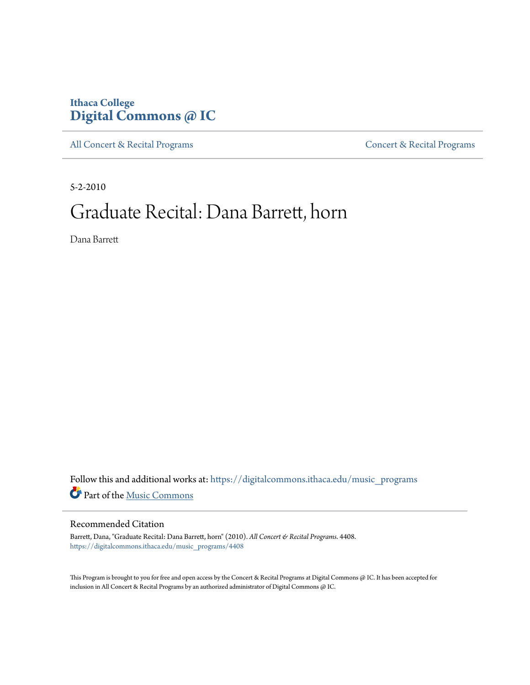## **Ithaca College [Digital Commons @ IC](https://digitalcommons.ithaca.edu?utm_source=digitalcommons.ithaca.edu%2Fmusic_programs%2F4408&utm_medium=PDF&utm_campaign=PDFCoverPages)**

[All Concert & Recital Programs](https://digitalcommons.ithaca.edu/music_programs?utm_source=digitalcommons.ithaca.edu%2Fmusic_programs%2F4408&utm_medium=PDF&utm_campaign=PDFCoverPages) **[Concert & Recital Programs](https://digitalcommons.ithaca.edu/som_programs?utm_source=digitalcommons.ithaca.edu%2Fmusic_programs%2F4408&utm_medium=PDF&utm_campaign=PDFCoverPages)** 

5-2-2010

# Graduate Recital: Dana Barrett, horn

Dana Barrett

 ${\bf Follow~this~and~additional~works~at:~https://digitalcommons.ithaca.edu/music\_programs}$ Part of the [Music Commons](http://network.bepress.com/hgg/discipline/518?utm_source=digitalcommons.ithaca.edu%2Fmusic_programs%2F4408&utm_medium=PDF&utm_campaign=PDFCoverPages)

### Recommended Citation

Barrett, Dana, "Graduate Recital: Dana Barrett, horn" (2010). *All Concert & Recital Programs*. 4408. [https://digitalcommons.ithaca.edu/music\\_programs/4408](https://digitalcommons.ithaca.edu/music_programs/4408?utm_source=digitalcommons.ithaca.edu%2Fmusic_programs%2F4408&utm_medium=PDF&utm_campaign=PDFCoverPages)

This Program is brought to you for free and open access by the Concert & Recital Programs at Digital Commons @ IC. It has been accepted for inclusion in All Concert & Recital Programs by an authorized administrator of Digital Commons @ IC.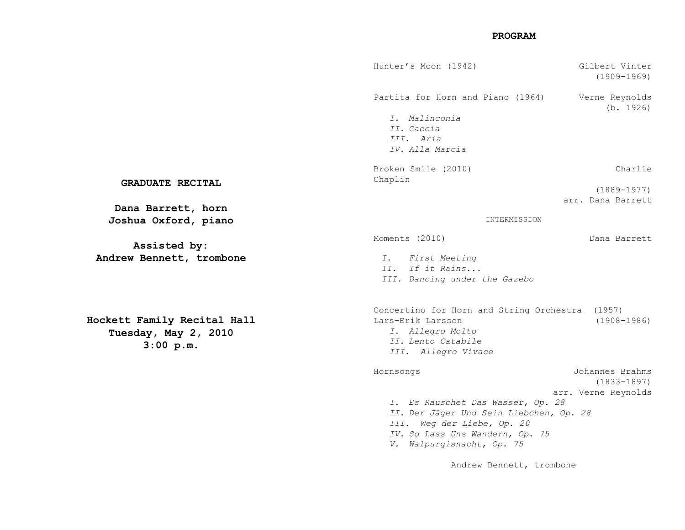#### **PROGRAM**

|                | Hunter's Moon (1942)                                                                                                                  | Gilbert Vinter<br>$(1909 - 1969)$    |
|----------------|---------------------------------------------------------------------------------------------------------------------------------------|--------------------------------------|
|                | Partita for Horn and Piano (1964)                                                                                                     | Verne Reynolds<br>(b. 1926)          |
|                | I. Malinconia<br>II. Caccia<br>III. Aria<br>IV. Alla Marcia                                                                           |                                      |
| L              | Broken Smile (2010)<br>Chaplin                                                                                                        | Charlie                              |
| rn             |                                                                                                                                       | $(1889 - 1977)$<br>arr. Dana Barrett |
| ano            | INTERMISSION                                                                                                                          |                                      |
|                | Moments (2010)                                                                                                                        | Dana Barrett                         |
| mbone          | I. First Meeting<br>II. If it Rains<br>III. Dancing under the Gazebo                                                                  |                                      |
| al Hall<br>010 | Concertino for Horn and String Orchestra (1957)<br>Lars-Erik Larsson<br>I. Allegro Molto<br>II. Lento Catabile<br>III. Allegro Vivace | $(1908 - 1986)$                      |
|                | Hornsongs                                                                                                                             | Johannes Brahms<br>$(1833 - 1897)$   |
|                | arr. Verne Reynolds                                                                                                                   |                                      |
|                | I. Es Rauschet Das Wasser, Op. 28<br>II. Der Jäger Und Sein Liebchen, Op. 28                                                          |                                      |
|                | III. Weg der Liebe, Op. 20                                                                                                            |                                      |
|                | IV. So Lass Uns Wandern, Op. 75                                                                                                       |                                      |
|                | V. Walpurgisnacht, Op. 75                                                                                                             |                                      |
|                | Andrew Bennett, trombone                                                                                                              |                                      |

#### **GRADUATE RECITAL**

Dana Barrett, ho: Joshua Oxford, pia

**Assisted by:** Andrew Bennett, trom

**Hockett Family Recita Tuesday, May 2, 2010 3:00 p.m.**